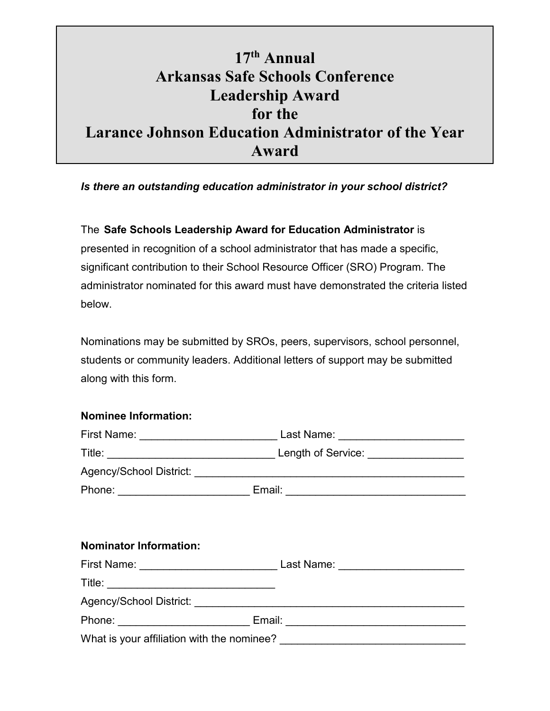## **17th Annual Arkansas Safe Schools Conference Leadership Award for the Larance Johnson Education Administrator of the Year Award**

## *Is there an outstanding education administrator in your school district?*

The **Safe Schools Leadership Award for Education Administrator** is presented in recognition of a school administrator that has made a specific, significant contribution to their School Resource Officer (SRO) Program. The administrator nominated for this award must have demonstrated the criteria listed below.

Nominations may be submitted by SROs, peers, supervisors, school personnel, students or community leaders. Additional letters of support may be submitted along with this form.

## **Nominee Information:**

|                               | First Name: _________________________________ Last Name: _______________________ |
|-------------------------------|----------------------------------------------------------------------------------|
|                               |                                                                                  |
|                               |                                                                                  |
|                               |                                                                                  |
|                               |                                                                                  |
| <b>Nominator Information:</b> |                                                                                  |
|                               |                                                                                  |
|                               |                                                                                  |
|                               |                                                                                  |
|                               | Phone: _______________________________ Email: __________________________________ |
|                               |                                                                                  |